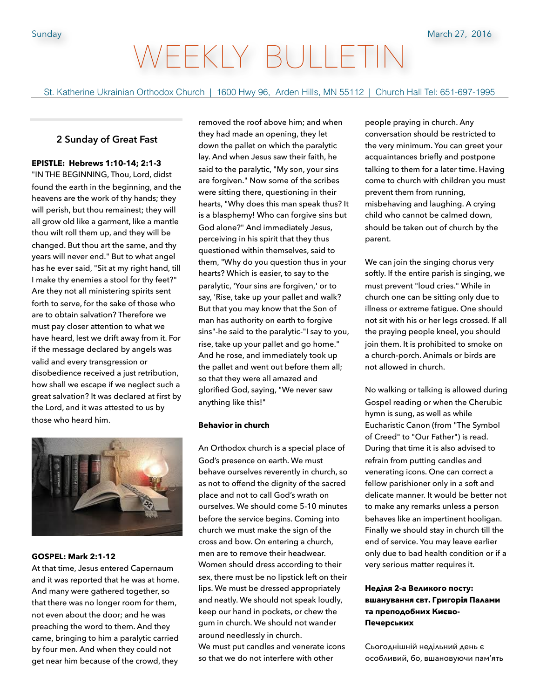# WEEKLY BULLET

St. Katherine Ukrainian Orthodox Church | 1600 Hwy 96, Arden Hills, MN 55112 | Church Hall Tel: 651-697-1995

# **2 Sunday of Great Fast**

### **EPISTLE: Hebrews 1:10-14; 2:1-3**

"IN THE BEGINNING, Thou, Lord, didst found the earth in the beginning, and the heavens are the work of thy hands; they will perish, but thou remainest; they will all grow old like a garment, like a mantle thou wilt roll them up, and they will be changed. But thou art the same, and thy years will never end." But to what angel has he ever said, "Sit at my right hand, till I make thy enemies a stool for thy feet?" Are they not all ministering spirits sent forth to serve, for the sake of those who are to obtain salvation? Therefore we must pay closer attention to what we have heard, lest we drift away from it. For if the message declared by angels was valid and every transgression or disobedience received a just retribution, how shall we escape if we neglect such a great salvation? It was declared at first by the Lord, and it was attested to us by those who heard him.



## **GOSPEL: Mark 2:1-12**

At that time, Jesus entered Capernaum and it was reported that he was at home. And many were gathered together, so that there was no longer room for them, not even about the door; and he was preaching the word to them. And they came, bringing to him a paralytic carried by four men. And when they could not get near him because of the crowd, they

removed the roof above him; and when they had made an opening, they let down the pallet on which the paralytic lay. And when Jesus saw their faith, he said to the paralytic, "My son, your sins are forgiven." Now some of the scribes were sitting there, questioning in their hearts, "Why does this man speak thus? It is a blasphemy! Who can forgive sins but God alone?" And immediately Jesus, perceiving in his spirit that they thus questioned within themselves, said to them, "Why do you question thus in your hearts? Which is easier, to say to the paralytic, 'Your sins are forgiven,' or to say, 'Rise, take up your pallet and walk? But that you may know that the Son of man has authority on earth to forgive sins"-he said to the paralytic-"I say to you, rise, take up your pallet and go home." And he rose, and immediately took up the pallet and went out before them all; so that they were all amazed and glorified God, saying, "We never saw anything like this!"

#### **Behavior in church**

An Orthodox church is a special place of God's presence on earth. We must behave ourselves reverently in church, so as not to offend the dignity of the sacred place and not to call God's wrath on ourselves. We should come 5-10 minutes before the service begins. Coming into church we must make the sign of the cross and bow. On entering a church, men are to remove their headwear. Women should dress according to their sex, there must be no lipstick left on their lips. We must be dressed appropriately and neatly. We should not speak loudly, keep our hand in pockets, or chew the gum in church. We should not wander around needlessly in church. We must put candles and venerate icons so that we do not interfere with other

people praying in church. Any conversation should be restricted to the very minimum. You can greet your acquaintances briefly and postpone talking to them for a later time. Having come to church with children you must prevent them from running, misbehaving and laughing. A crying child who cannot be calmed down, should be taken out of church by the parent.

We can join the singing chorus very softly. If the entire parish is singing, we must prevent "loud cries." While in church one can be sitting only due to illness or extreme fatigue. One should not sit with his or her legs crossed. If all the praying people kneel, you should join them. It is prohibited to smoke on a church-porch. Animals or birds are not allowed in church.

No walking or talking is allowed during Gospel reading or when the Cherubic hymn is sung, as well as while Eucharistic Canon (from "The Symbol of Creed" to "Our Father") is read. During that time it is also advised to refrain from putting candles and venerating icons. One can correct a fellow parishioner only in a soft and delicate manner. It would be better not to make any remarks unless a person behaves like an impertinent hooligan. Finally we should stay in church till the end of service. You may leave earlier only due to bad health condition or if a very serious matter requires it.

# **Неділя 2-а Великого посту: вшанування свт. Григорія Палами та преподобних Києво-Печерських**

Сьогоднішній недільний день є особливий, бо, вшановуючи пам'ять